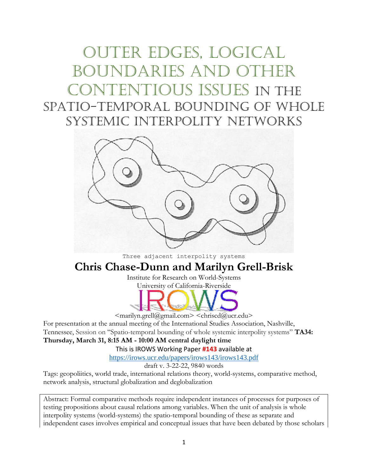# Outer edges, logical boundaries and other contentious issues in the spatio-temporal bounding of whole systemic interpolity networks



Three adjacent interpolity systems

## **Chris Chase-Dunn and Marilyn Grell-Brisk**

Institute for Research on World-Systems University of California-Riverside



 $\leq$ marilyn.grell $@g$ mail.com $>$  $\leq$ chriscd $@u$ cr.edu $>$ 

For presentation at the annual meeting of the International Studies Association, Nashville, Tennessee, Session on "Spatio-temporal bounding of whole systemic interpolity systems" **TA34: Thursday, March 31, 8:15 AM - 10:00 AM central daylight time**

This is IROWS Working Paper **#143** available at

<https://irows.ucr.edu/papers/irows143/irows143.pdf>

draft v. 3-22-22, 9840 words

Tags: geopoliitics, world trade, international relations theory, world-systems, comparative method, network analysis, structural globalization and deglobalization

Abstract: Formal comparative methods require independent instances of processes for purposes of testing propositions about causal relations among variables. When the unit of analysis is whole interpolity systems (world-systems) the spatio-temporal bounding of these as separate and independent cases involves empirical and conceptual issues that have been debated by those scholars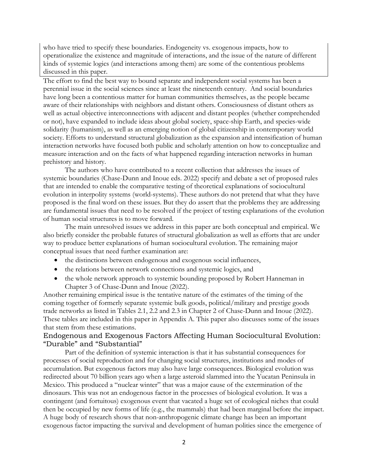who have tried to specify these boundaries. Endogeneity vs. exogenous impacts, how to operationalize the existence and magnitude of interactions, and the issue of the nature of different kinds of systemic logics (and interactions among them) are some of the contentious problems discussed in this paper.

The effort to find the best way to bound separate and independent social systems has been a perennial issue in the social sciences since at least the nineteenth century. And social boundaries have long been a contentious matter for human communities themselves, as the people became aware of their relationships with neighbors and distant others. Consciousness of distant others as well as actual objective interconnections with adjacent and distant peoples (whether comprehended or not), have expanded to include ideas about global society, space-ship Earth, and species-wide solidarity (humanism), as well as an emerging notion of global citizenship in contemporary world society. Efforts to understand structural globalization as the expansion and intensification of human interaction networks have focused both public and scholarly attention on how to conceptualize and measure interaction and on the facts of what happened regarding interaction networks in human prehistory and history.

 The authors who have contributed to a recent collection that addresses the issues of systemic boundaries (Chase-Dunn and Inoue eds. 2022) specify and debate a set of proposed rules that are intended to enable the comparative testing of theoretical explanations of sociocultural evolution in interpolity systems (world-systems). These authors do not pretend that what they have proposed is the final word on these issues. But they do assert that the problems they are addressing are fundamental issues that need to be resolved if the project of testing explanations of the evolution of human social structures is to move forward.

The main unresolved issues we address in this paper are both conceptual and empirical. We also briefly consider the probable futures of structural globalization as well as efforts that are under way to produce better explanations of human sociocultural evolution. The remaining major conceptual issues that need further examination are:

- the distinctions between endogenous and exogenous social influences,
- the relations between network connections and systemic logics, and
- the whole network approach to systemic bounding proposed by Robert Hanneman in Chapter 3 of Chase-Dunn and Inoue (2022).

Another remaining empirical issue is the tentative nature of the estimates of the timing of the coming together of formerly separate systemic bulk goods, political/military and prestige goods trade networks as listed in Tables 2.1, 2.2 and 2.3 in Chapter 2 of Chase-Dunn and Inoue (2022). These tables are included in this paper in Appendix A. This paper also discusses some of the issues that stem from these estimations.

## Endogenous and Exogenous Factors Affecting Human Sociocultural Evolution: "Durable" and "Substantial"

Part of the definition of systemic interaction is that it has substantial consequences for processes of social reproduction and for changing social structures, institutions and modes of accumulation. But exogenous factors may also have large consequences. Biological evolution was redirected about 70 billion years ago when a large asteroid slammed into the Yucatan Peninsula in Mexico. This produced a "nuclear winter" that was a major cause of the extermination of the dinosaurs. This was not an endogenous factor in the processes of biological evolution. It was a contingent (and fortuitous) exogenous event that vacated a huge set of ecological niches that could then be occupied by new forms of life (e.g., the mammals) that had been marginal before the impact. A huge body of research shows that non-anthropogenic climate change has been an important exogenous factor impacting the survival and development of human polities since the emergence of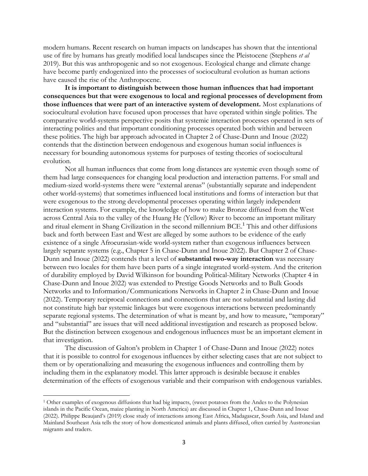modern humans. Recent research on human impacts on landscapes has shown that the intentional use of fire by humans has greatly modified local landscapes since the Pleistocene (Stephens *et al* 2019). But this was anthropogenic and so not exogenous. Ecological change and climate change have become partly endogenized into the processes of sociocultural evolution as human actions have caused the rise of the Anthropocene.

**It is important to distinguish between those human influences that had important consequences but that were exogenous to local and regional processes of development from those influences that were part of an interactive system of development.** Most explanations of sociocultural evolution have focused upon processes that have operated within single polities. The comparative world-systems perspective posits that systemic interaction processes operated in sets of interacting polities and that important conditioning processes operated both within and between these polities. The high bar approach advocated in Chapter 2 of Chase-Dunn and Inoue (2022) contends that the distinction between endogenous and exogenous human social influences is necessary for bounding autonomous systems for purposes of testing theories of sociocultural evolution.

Not all human influences that come from long distances are systemic even though some of them had large consequences for changing local production and interaction patterns. For small and medium-sized world-systems there were "external arenas" (substantially separate and independent other world-systems) that sometimes influenced local institutions and forms of interaction but that were exogenous to the strong developmental processes operating within largely independent interaction systems. For example, the knowledge of how to make Bronze diffused from the West across Central Asia to the valley of the Huang He (Yellow) River to become an important military and ritual element in Shang Civilization in the second millennium BCE.<sup>1</sup> This and other diffusions back and forth between East and West are alleged by some authors to be evidence of the early existence of a single Afroeurasian-wide world-system rather than exogenous influences between largely separate systems (e.g., Chapter 5 in Chase-Dunn and Inoue 2022). But Chapter 2 of Chase-Dunn and Inoue (2022) contends that a level of **substantial two-way interaction** was necessary between two locales for them have been parts of a single integrated world-system. And the criterion of durability employed by David Wilkinson for bounding Political-Military Networks (Chapter 4 in Chase-Dunn and Inoue 2022) was extended to Prestige Goods Networks and to Bulk Goods Networks and to Information/Communications Networks in Chapter 2 in Chase-Dunn and Inoue (2022). Temporary reciprocal connections and connections that are not substantial and lasting did not constitute high bar systemic linkages but were exogenous interactions between predominantly separate regional systems. The determination of what is meant by, and how to measure, "temporary" and "substantial" are issues that will need additional investigation and research as proposed below. But the distinction between exogenous and endogenous influences must be an important element in that investigation.

The discussion of Galton's problem in Chapter 1 of Chase-Dunn and Inoue (2022) notes that it is possible to control for exogenous influences by either selecting cases that are not subject to them or by operationalizing and measuring the exogenous influences and controlling them by including them in the explanatory model. This latter approach is desirable because it enables determination of the effects of exogenous variable and their comparison with endogenous variables.

<sup>1</sup> Other examples of exogenous diffusions that had big impacts, (sweet potatoes from the Andes to the Polynesian islands in the Pacific Ocean, maize planting in North America) are discussed in Chapter 1, Chase-Dunn and Inoue (2022). Philippe Beaujard's (2019) close study of interactions among East Africa, Madagascar, South Asia, and Island and Mainland Southeast Asia tells the story of how domesticated animals and plants diffused, often carried by Austronesian migrants and traders.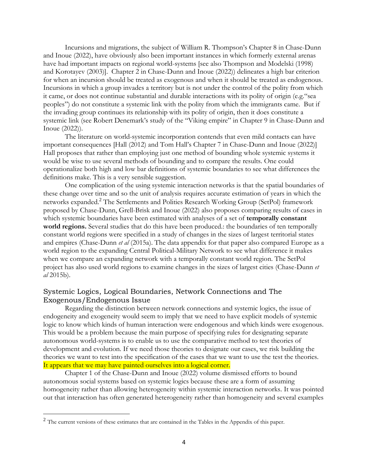Incursions and migrations, the subject of William R. Thompson's Chapter 8 in Chase-Dunn and Inoue (2022), have obviously also been important instances in which formerly external arenas have had important impacts on regional world-systems [see also Thompson and Modelski (1998) and Korotayev (2003)]. Chapter 2 in Chase-Dunn and Inoue (2022)) delineates a high bar criterion for when an incursion should be treated as exogenous and when it should be treated as endogenous. Incursions in which a group invades a territory but is not under the control of the polity from which it came, or does not continue substantial and durable interactions with its polity of origin (e.g."sea peoples") do not constitute a systemic link with the polity from which the immigrants came. But if the invading group continues its relationship with its polity of origin, then it does constitute a systemic link (see Robert Denemark's study of the "Viking empire" in Chapter 9 in Chase-Dunn and Inoue (2022)).

The literature on world-systemic incorporation contends that even mild contacts can have important consequences [Hall (2012) and Tom Hall's Chapter 7 in Chase-Dunn and Inoue (2022)] Hall proposes that rather than employing just one method of bounding whole systemic systems it would be wise to use several methods of bounding and to compare the results. One could operationalize both high and low bar definitions of systemic boundaries to see what differences the definitions make. This is a very sensible suggestion.

One complication of the using systemic interaction networks is that the spatial boundaries of these change over time and so the unit of analysis requires accurate estimation of years in which the networks expanded.<sup>2</sup> The Settlements and Polities Research Working Group (SetPol) framework proposed by Chase-Dunn, Grell-Brisk and Inoue (2022) also proposes comparing results of cases in which systemic boundaries have been estimated with analyses of a set of **temporally constant world regions.** Several studies that do this have been produced.: the boundaries of ten temporally constant world regions were specified in a study of changes in the sizes of largest territorial states and empires (Chase-Dunn *et al* (2015a). The data appendix for that paper also compared Europe as a world region to the expanding Central Political-Military Network to see what difference it makes when we compare an expanding network with a temporally constant world region. The SetPol project has also used world regions to examine changes in the sizes of largest cities (Chase-Dunn *et al* 2015b).

## Systemic Logics, Logical Boundaries, Network Connections and The Exogenous/Endogenous Issue

Regarding the distinction between network connections and systemic logics, the issue of endogeneity and exogeneity would seem to imply that we need to have explicit models of systemic logic to know which kinds of human interaction were endogenous and which kinds were exogenous. This would be a problem because the main purpose of specifying rules for designating separate autonomous world-systems is to enable us to use the comparative method to test theories of development and evolution. If we need those theories to designate our cases, we risk building the theories we want to test into the specification of the cases that we want to use the test the theories. It appears that we may have painted ourselves into a logical corner.

Chapter 1 of the Chase-Dunn and Inoue (2022) volume dismissed efforts to bound autonomous social systems based on systemic logics because these are a form of assuming homogeneity rather than allowing heterogeneity within systemic interaction networks. It was pointed out that interaction has often generated heterogeneity rather than homogeneity and several examples

<sup>&</sup>lt;sup>2</sup> The current versions of these estimates that are contained in the Tables in the Appendix of this paper.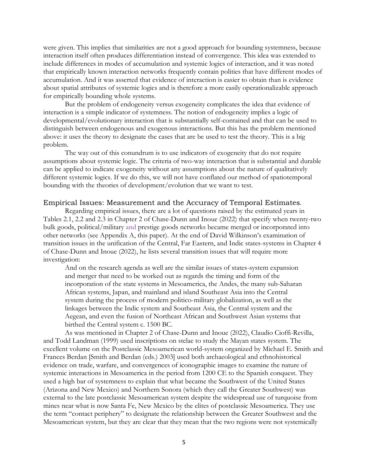were given. This implies that similarities are not a good approach for bounding systemness, because interaction itself often produces differentiation instead of convergence. This idea was extended to include differences in modes of accumulation and systemic logics of interaction, and it was noted that empirically known interaction networks frequently contain polities that have different modes of accumulation. And it was asserted that evidence of interaction is easier to obtain than is evidence about spatial attributes of systemic logics and is therefore a more easily operationalizable approach for empirically bounding whole systems.

But the problem of endogeneity versus exogeneity complicates the idea that evidence of interaction is a simple indicator of systemness. The notion of endogeneity implies a logic of developmental/evolutionary interaction that is substantially self-contained and that can be used to distinguish between endogenous and exogenous interactions. But this has the problem mentioned above: it uses the theory to designate the cases that are be used to test the theory. This is a big problem.

The way out of this conundrum is to use indicators of exogeneity that do not require assumptions about systemic logic. The criteria of two-way interaction that is substantial and durable can be applied to indicate exogeneity without any assumptions about the nature of qualitatively different systemic logics. If we do this, we will not have conflated our method of spatiotemporal bounding with the theories of development/evolution that we want to test.

#### Empirical Issues: Measurement and the Accuracy of Temporal Estimates.

Regarding empirical issues, there are a lot of questions raised by the estimated years in Tables 2.1, 2.2 and 2.3 in Chapter 2 of Chase-Dunn and Inoue (2022) that specify when twenty-two bulk goods, political/military and prestige goods networks became merged or incorporated into other networks (see Appendix A, this paper). At the end of David Wilkinson's examination of transition issues in the unification of the Central, Far Eastern, and Indic states-systems in Chapter 4 of Chase-Dunn and Inoue (2022), he lists several transition issues that will require more investigation:

And on the research agenda as well are the similar issues of states-system expansion and merger that need to be worked out as regards the timing and form of the incorporation of the state systems in Mesoamerica, the Andes, the many sub-Saharan African systems, Japan, and mainland and island Southeast Asia into the Central system during the process of modern politico-military globalization, as well as the linkages between the Indic system and Southeast Asia, the Central system and the Aegean, and even the fusion of Northeast African and Southwest Asian systems that birthed the Central system c. 1500 BC.

As was mentioned in Chapter 2 of Chase-Dunn and Inoue (2022), Claudio Cioffi-Revilla, and Todd Landman (1999) used inscriptions on stelae to study the Mayan states system. The excellent volume on the Postclassic Mesoamerican world-system organized by Michael E. Smith and Frances Berdan [Smith and Berdan (eds.) 2003] used both archaeological and ethnohistorical evidence on trade, warfare, and convergences of iconographic images to examine the nature of systemic interactions in Mesoamerica in the period from 1200 CE to the Spanish conquest. They used a high bar of systemness to explain that what became the Southwest of the United States (Arizona and New Mexico) and Northern Sonora (which they call the Greater Southwest) was external to the late postclassic Mesoamerican system despite the widespread use of turquoise from mines near what is now Santa Fe, New Mexico by the elites of postclassic Mesoamerica. They use the term "contact periphery" to designate the relationship between the Greater Southwest and the Mesoamerican system, but they are clear that they mean that the two regions were not systemically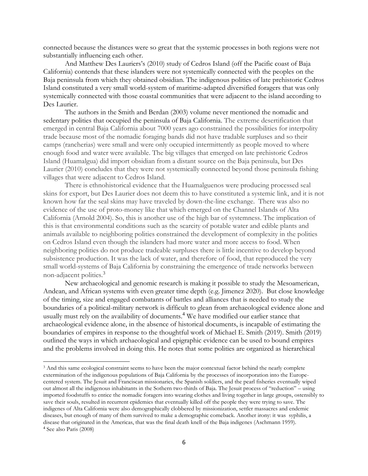connected because the distances were so great that the systemic processes in both regions were not substantially influencing each other.

And Matthew Des Lauriers's (2010) study of Cedros Island (off the Pacific coast of Baja California) contends that these islanders were not systemically connected with the peoples on the Baja peninsula from which they obtained obsidian. The indigenous polities of late prehistoric Cedros Island constituted a very small world-system of maritime-adapted diversified foragers that was only systemically connected with those coastal communities that were adjacent to the island according to Des Laurier.

The authors in the Smith and Berdan (2003) volume never mentioned the nomadic and sedentary polities that occupied the peninsula of Baja California. The extreme desertification that emerged in central Baja California about 7000 years ago constrained the possibilities for interpolity trade because most of the nomadic foraging bands did not have tradable surpluses and so their camps (rancherias) were small and were only occupied intermittently as people moved to where enough food and water were available. The big villages that emerged on late prehistoric Cedros Island (Huamalgua) did import obsidian from a distant source on the Baja peninsula, but Des Laurier (2010) concludes that they were not systemically connected beyond those peninsula fishing villages that were adjacent to Cedros Island.

There is ethnohistorical evidence that the Huamalguenos were producing processed seal skins for export, but Des Laurier does not deem this to have constituted a systemic link, and it is not known how far the seal skins may have traveled by down-the-line exchange. There was also no evidence of the use of proto-money like that which emerged on the Channel Islands of Alta California (Arnold 2004). So, this is another use of the high bar of systemness. The implication of this is that environmental conditions such as the scarcity of potable water and edible plants and animals available to neighboring polities constrained the development of complexity in the polities on Cedros Island even though the islanders had more water and more access to food. When neighboring polities do not produce tradeable surpluses there is little incentive to develop beyond subsistence production. It was the lack of water, and therefore of food, that reproduced the very small world-systems of Baja California by constraining the emergence of trade networks between non-adjacent polities.<sup>3</sup>

New archaeological and genomic research is making it possible to study the Mesoamerican, Andean, and African systems with even greater time depth (e.g. Jimenez 2020). But close knowledge of the timing, size and engaged combatants of battles and alliances that is needed to study the boundaries of a political-military network is difficult to glean from archaeological evidence alone and usually must rely on the availability of documents.<sup>4</sup> We have modified our earlier stance that archaeological evidence alone, in the absence of historical documents, is incapable of estimating the boundaries of empires in response to the thoughtful work of Michael E. Smith (2019). Smith (2019) outlined the ways in which archaeological and epigraphic evidence can be used to bound empires and the problems involved in doing this. He notes that some polities are organized as hierarchical

<sup>3</sup> And this same ecological constraint seems to have been the major contextual factor behind the nearly complete extermination of the indigenous populations of Baja California by the processes of incorporation into the Europecentered system. The Jesuit and Franciscan missionaries, the Spanish soldiers, and the pearl fisheries eventually wiped out almost all the indigenous inhabitants in the Sothern two-thirds of Baja. The Jesuit process of "reduction" – using imported foodstuffs to entice the nomadic foragers into wearing clothes and living together in large groups, ostensibly to save their souls, resulted in recurrent epidemics that eventually killed off the people they were trying to save. The indigenes of Alta California were also demographically clobbered by missionization, settler massacres and endemic diseases, but enough of many of them survived to make a demographic comeback. Another irony: it was syphilis, a disease that originated in the Americas, that was the final death knell of the Baja indigenes (Aschmann 1959).

<sup>4</sup> See also Paris (2008)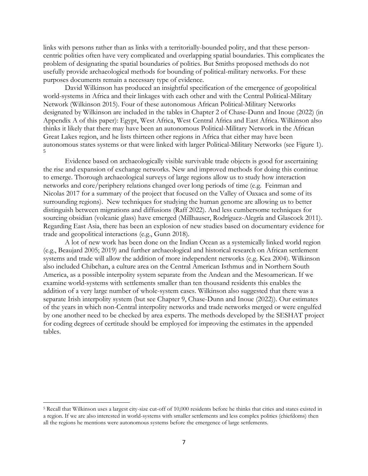links with persons rather than as links with a territorially-bounded polity, and that these personcentric polities often have very complicated and overlapping spatial boundaries. This complicates the problem of designating the spatial boundaries of polities. But Smiths proposed methods do not usefully provide archaeological methods for bounding of political-military networks. For these purposes documents remain a necessary type of evidence.

David Wilkinson has produced an insightful specification of the emergence of geopolitical world-systems in Africa and their linkages with each other and with the Central Political-Military Network (Wilkinson 2015). Four of these autonomous African Political-Military Networks designated by Wilkinson are included in the tables in Chapter 2 of Chase-Dunn and Inoue (2022) (in Appendix A of this paper): Egypt, West Africa, West Central Africa and East Africa. Wilkinson also thinks it likely that there may have been an autonomous Political-Military Network in the African Great Lakes region, and he lists thirteen other regions in Africa that either may have been autonomous states systems or that were linked with larger Political-Military Networks (see Figure 1). 5

Evidence based on archaeologically visible survivable trade objects is good for ascertaining the rise and expansion of exchange networks. New and improved methods for doing this continue to emerge. Thorough archaeological surveys of large regions allow us to study how interaction networks and core/periphery relations changed over long periods of time (e.g. Feinman and Nicolas 2017 for a summary of the project that focused on the Valley of Oaxaca and some of its surrounding regions). New techniques for studying the human genome are allowing us to better distinguish between migrations and diffusions (Raff 2022). And less cumbersome techniques for sourcing obsidian (volcanic glass) have emerged (Millhauser, Rodríguez-Alegría and Glascock 2011). Regarding East Asia, there has been an explosion of new studies based on documentary evidence for trade and geopolitical interactions (e.g., Gunn 2018).

A lot of new work has been done on the Indian Ocean as a systemically linked world region (e.g., Beaujard 2005; 2019) and further archaeological and historical research on African settlement systems and trade will allow the addition of more independent networks (e.g. Kea 2004). Wilkinson also included Chibchan, a culture area on the Central American Isthmus and in Northern South America, as a possible interpolity system separate from the Andean and the Mesoamerican. If we examine world-systems with settlements smaller than ten thousand residents this enables the addition of a very large number of whole-system cases. Wilkinson also suggested that there was a separate Irish interpolity system (but see Chapter 9, Chase-Dunn and Inoue (2022)). Our estimates of the years in which non-Central interpolity networks and trade networks merged or were engulfed by one another need to be checked by area experts. The methods developed by the SESHAT project for coding degrees of certitude should be employed for improving the estimates in the appended tables.

<sup>5</sup> Recall that Wilkinson uses a largest city-size cut-off of 10,000 residents before he thinks that cities and states existed in a region. If we are also interested in world-systems with smaller settlements and less complex polities (chiefdoms) then all the regions he mentions were autonomous systems before the emergence of large settlements.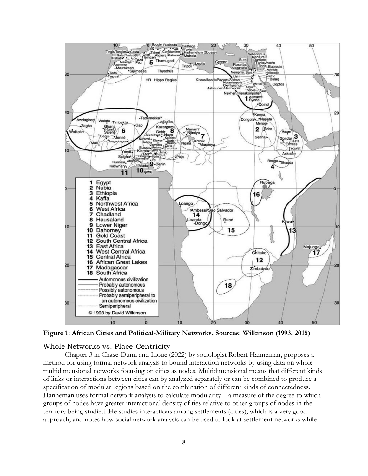

**Figure 1: African Cities and Political-Military Networks, Sources: Wilkinson (1993, 2015)**

#### Whole Networks vs. Place-Centricity

Chapter 3 in Chase-Dunn and Inoue (2022) by sociologist Robert Hanneman, proposes a method for using formal network analysis to bound interaction networks by using data on whole multidimensional networks focusing on cities as nodes. Multidimensional means that different kinds of links or interactions between cities can by analyzed separately or can be combined to produce a specification of modular regions based on the combination of different kinds of connectedness. Hanneman uses formal network analysis to calculate modularity – a measure of the degree to which groups of nodes have greater interactional density of ties relative to other groups of nodes in the territory being studied. He studies interactions among settlements (cities), which is a very good approach, and notes how social network analysis can be used to look at settlement networks while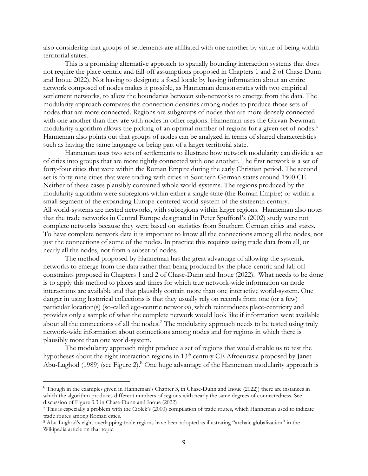also considering that groups of settlements are affiliated with one another by virtue of being within territorial states.

This is a promising alternative approach to spatially bounding interaction systems that does not require the place-centric and fall-off assumptions proposed in Chapters 1 and 2 of Chase-Dunn and Inoue 2022). Not having to designate a focal locale by having information about an entire network composed of nodes makes it possible, as Hanneman demonstrates with two empirical settlement networks, to allow the boundaries between sub-networks to emerge from the data. The modularity approach compares the connection densities among nodes to produce those sets of nodes that are more connected. Regions are subgroups of nodes that are more densely connected with one another than they are with nodes in other regions. Hanneman uses the Girvan-Newman modularity algorithm allows the picking of an optimal number of regions for a given set of nodes.<sup>6</sup> Hanneman also points out that groups of nodes can be analyzed in terms of shared characteristics such as having the same language or being part of a larger territorial state.

Hanneman uses two sets of settlements to illustrate how network modularity can divide a set of cities into groups that are more tightly connected with one another. The first network is a set of forty-four cities that were within the Roman Empire during the early Christian period. The second set is forty-nine cities that were trading with cities in Southern German states around 1500 CE. Neither of these cases plausibly contained whole world-systems. The regions produced by the modularity algorithm were subregions within either a single state (the Roman Empire) or within a small segment of the expanding Europe-centered world-system of the sixteenth century. All world-systems are nested networks, with subregions within larger regions. Hanneman also notes that the trade networks in Central Europe designated in Peter Spufford's (2002) study were not complete networks because they were based on statistics from Southern German cities and states. To have complete network data it is important to know all the connections among all the nodes, not just the connections of some of the nodes. In practice this requires using trade data from all, or nearly all the nodes, not from a subset of nodes.

The method proposed by Hanneman has the great advantage of allowing the systemic networks to emerge from the data rather than being produced by the place-centric and fall-off constraints proposed in Chapters 1 and 2 of Chase-Dunn and Inoue (2022). What needs to be done is to apply this method to places and times for which true network-wide information on node interactions are available and that plausibly contain more than one interactive world-system. One danger in using historical collections is that they usually rely on records from one (or a few) particular location(s) (so-called ego-centric networks), which reintroduces place-centricity and provides only a sample of what the complete network would look like if information were available about all the connections of all the nodes.<sup>7</sup> The modularity approach needs to be tested using truly network-wide information about connections among nodes and for regions in which there is plausibly more than one world-system.

The modularity approach might produce a set of regions that would enable us to test the hypotheses about the eight interaction regions in  $13<sup>th</sup>$  century CE Afroeurasia proposed by Janet Abu-Lughod (1989) (see Figure 2).<sup>8</sup> One huge advantage of the Hanneman modularity approach is

<sup>6</sup> Though in the examples given in Hanneman's Chapter 3, in Chase-Dunn and Inoue (2022)) there are instances in which the algorithm produces different numbers of regions with nearly the same degrees of connectedness. See discussion of Figure 3.3 in Chase-Dunn and Inoue (2022)

<sup>7</sup> This is especially a problem with the Ciolek's (2000) compilation of trade routes, which Hanneman used to indicate trade routes among Roman cities.

<sup>8</sup> Abu-Lughod's eight overlapping trade regions have been adopted as illustrating "archaic globalization" in the Wikipedia article on that topic.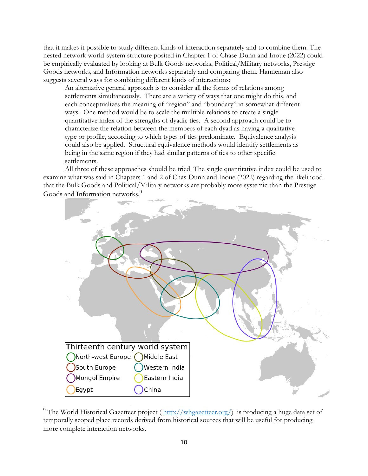that it makes it possible to study different kinds of interaction separately and to combine them. The nested network world-system structure posited in Chapter 1 of Chase-Dunn and Inoue (2022) could be empirically evaluated by looking at Bulk Goods networks, Political/Military networks, Prestige Goods networks, and Information networks separately and comparing them. Hanneman also suggests several ways for combining different kinds of interactions:

An alternative general approach is to consider all the forms of relations among settlements simultaneously. There are a variety of ways that one might do this, and each conceptualizes the meaning of "region" and "boundary" in somewhat different ways. One method would be to scale the multiple relations to create a single quantitative index of the strengths of dyadic ties. A second approach could be to characterize the relation between the members of each dyad as having a qualitative type or profile, according to which types of ties predominate. Equivalence analysis could also be applied. Structural equivalence methods would identify settlements as being in the same region if they had similar patterns of ties to other specific settlements.

All three of these approaches should be tried. The single quantitative index could be used to examine what was said in Chapters 1 and 2 of Chas-Dunn and Inoue (2022) regarding the likelihood that the Bulk Goods and Political/Military networks are probably more systemic than the Prestige Goods and Information networks.<sup>9</sup>



<sup>&</sup>lt;sup>9</sup> The World Historical Gazetteer project ([http://whgazetteer.org/\)](http://whgazetteer.org/) is producing a huge data set of temporally scoped place records derived from historical sources that will be useful for producing more complete interaction networks.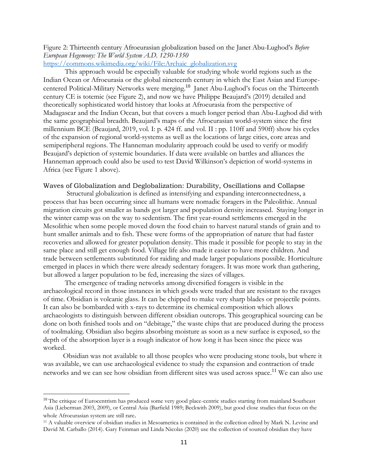## Figure 2: Thirteenth century Afroeurasian globalization based on the [Janet Abu-Lughod](https://en.wikipedia.org/wiki/Janet_Abu-Lughod)'s *Before European Hegemony: The World System A.D. 1250-1350*

## [https://commons.wikimedia.org/wiki/File:Archaic\\_globalization.svg](https://commons.wikimedia.org/wiki/File:Archaic_globalization.svg)

This approach would be especially valuable for studying whole world regions such as the Indian Ocean or Afroeurasia or the global nineteenth century in which the East Asian and Europecentered Political-Military Networks were merging.<sup>10</sup> Janet Abu-Lughod's focus on the Thirteenth century CE is totemic (see Figure 2), and now we have Philippe Beaujard's (2019) detailed and theoretically sophisticated world history that looks at Afroeurasia from the perspective of Madagascar and the Indian Ocean, but that covers a much longer period than Abu-Lughod did with the same geographical breadth. Beaujard's maps of the Afroeurasian world-system since the first millennium BCE (Beaujard, 2019, vol. I: p. 424 ff. and vol. II : pp. 110ff and 590ff) show his cycles of the expansion of regional world-systems as well as the locations of large cities, core areas and semiperipheral regions. The Hanneman modularity approach could be used to verify or modify Beaujard's depiction of systemic boundaries. If data were available on battles and alliances the Hanneman approach could also be used to test David Wilkinson's depiction of world-systems in Africa (see Figure 1 above).

#### Waves of Globalization and Deglobalization: Durability, Oscillations and Collapse

Structural globalization is defined as intensifying and expanding interconnectedness, a process that has been occurring since all humans were nomadic foragers in the Paleolithic. Annual migration circuits got smaller as bands got larger and population density increased. Staying longer in the winter camp was on the way to sedentism. The first year-round settlements emerged in the Mesolithic when some people moved down the food chain to harvest natural stands of grain and to hunt smaller animals and to fish. These were forms of the appropriation of nature that had faster recoveries and allowed for greater population density. This made it possible for people to stay in the same place and still get enough food. Village life also made it easier to have more children. And trade between settlements substituted for raiding and made larger populations possible. Horticulture emerged in places in which there were already sedentary foragers. It was more work than gathering, but allowed a larger population to be fed, increasing the sizes of villages.

The emergence of trading networks among diversified foragers is visible in the archaeological record in those instances in which goods were traded that are resistant to the ravages of time. Obsidian is volcanic glass. It can be chipped to make very sharp blades or projectile points. It can also be bombarded with x-rays to determine its chemical composition which allows archaeologists to distinguish between different obsidian outcrops. This geographical sourcing can be done on both finished tools and on "debitage," the waste chips that are produced during the process of toolmaking. Obsidian also begins absorbing moisture as soon as a new surface is exposed, so the depth of the absorption layer is a rough indicator of how long it has been since the piece was worked.

 Obsidian was not available to all those peoples who were producing stone tools, but where it was available, we can use archaeological evidence to study the expansion and contraction of trade networks and we can see how obsidian from different sites was used across space.<sup>11</sup> We can also use

<sup>&</sup>lt;sup>10</sup> The critique of Eurocentrism has produced some very good place-centric studies starting from mainland Southeast Asia (Lieberman 2003, 2009), or Central Asia (Barfield 1989; Beckwith 2009), but good close studies that focus on the whole Afroeurasian system are still rare.

<sup>11</sup> A valuable overview of obsidian studies in Mesoamerica is contained in the collection edited by Mark N. Levine and David M. Carballo (2014). Gary Feinman and Linda Nicolas (2020) use the collection of sourced obsidian they have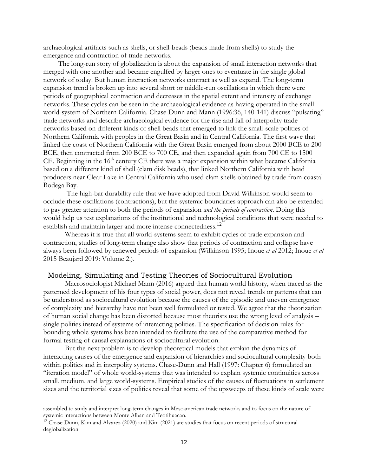archaeological artifacts such as shells, or shell-beads (beads made from shells) to study the emergence and contraction of trade networks.

 The long-run story of globalization is about the expansion of small interaction networks that merged with one another and became engulfed by larger ones to eventuate in the single global network of today. But human interaction networks contract as well as expand. The long-term expansion trend is broken up into several short or middle-run oscillations in which there were periods of geographical contraction and decreases in the spatial extent and intensity of exchange networks. These cycles can be seen in the archaeological evidence as having operated in the small world-system of Northern California. Chase-Dunn and Mann (1996:36, 140-141) discuss "pulsating" trade networks and describe archaeological evidence for the rise and fall of interpolity trade networks based on different kinds of shell beads that emerged to link the small-scale polities of Northern California with peoples in the Great Basin and in Central California. The first wave that linked the coast of Northern California with the Great Basin emerged from about 2000 BCE to 200 BCE, then contracted from 200 BCE to 700 CE, and then expanded again from 700 CE to 1500 CE. Beginning in the 16<sup>th</sup> century CE there was a major expansion within what became California based on a different kind of shell (clam disk beads), that linked Northern California with bead producers near Clear Lake in Central California who used clam shells obtained by trade from coastal Bodega Bay.

 The high-bar durability rule that we have adopted from David Wilkinson would seem to occlude these oscillations (contractions), but the systemic boundaries approach can also be extended to pay greater attention to both the periods of expansion *and the periods of contraction*. Doing this would help us test explanations of the institutional and technological conditions that were needed to establish and maintain larger and more intense connectedness.<sup>12</sup>

Whereas it is true that all world-systems seem to exhibit cycles of trade expansion and contraction, studies of long-term change also show that periods of contraction and collapse have always been followed by renewed periods of expansion (Wilkinson 1995; Inoue *et al* 2012; Inoue *et al*  2015 Beaujard 2019: Volume 2.).

### Modeling, Simulating and Testing Theories of Sociocultural Evolution

Macrosociologist Michael Mann (2016) argued that human world history, when traced as the patterned development of his four types of social power, does not reveal trends or patterns that can be understood as sociocultural evolution because the causes of the episodic and uneven emergence of complexity and hierarchy have not been well formulated or tested. We agree that the theorization of human social change has been distorted because most theorists use the wrong level of analysis – single polities instead of systems of interacting polities. The specification of decision rules for bounding whole systems has been intended to facilitate the use of the comparative method for formal testing of causal explanations of sociocultural evolution.

But the next problem is to develop theoretical models that explain the dynamics of interacting causes of the emergence and expansion of hierarchies and sociocultural complexity both within polities and in interpolity systems. Chase-Dunn and Hall (1997: Chapter 6) formulated an "iteration model" of whole world-systems that was intended to explain systemic continuities across small, medium, and large world-systems. Empirical studies of the causes of fluctuations in settlement sizes and the territorial sizes of polities reveal that some of the upsweeps of these kinds of scale were

assembled to study and interpret long-term changes in Mesoamerican trade networks and to focus on the nature of systemic interactions between Monte Alban and Teotihuacan.

<sup>12</sup> Chase-Dunn, Kim and Alvarez (2020) and Kim (2021) are studies that focus on recent periods of structural deglobalization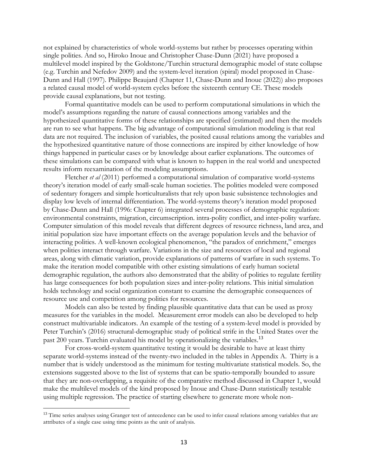not explained by characteristics of whole world-systems but rather by processes operating within single polities. And so, Hiroko Inoue and Christopher Chase-Dunn (2021) have proposed a multilevel model inspired by the Goldstone/Turchin structural demographic model of state collapse (e.g. Turchin and Nefedov 2009) and the system-level iteration (spiral) model proposed in Chase-Dunn and Hall (1997). Philippe Beaujard (Chapter 11, Chase-Dunn and Inoue (2022)) also proposes a related causal model of world-system cycles before the sixteenth century CE. These models provide causal explanations, but not testing.

Formal quantitative models can be used to perform computational simulations in which the model's assumptions regarding the nature of causal connections among variables and the hypothesized quantitative forms of these relationships are specified (estimated) and then the models are run to see what happens. The big advantage of computational simulation modeling is that real data are not required. The inclusion of variables, the posited causal relations among the variables and the hypothesized quantitative nature of those connections are inspired by either knowledge of how things happened in particular cases or by knowledge about earlier explanations. The outcomes of these simulations can be compared with what is known to happen in the real world and unexpected results inform reexamination of the modeling assumptions.

Fletcher *et al* (2011) performed a computational simulation of comparative world-systems theory's iteration model of early small-scale human societies. The polities modeled were composed of sedentary foragers and simple horticulturalists that rely upon basic subsistence technologies and display low levels of internal differentiation. The world-systems theory's iteration model proposed by Chase-Dunn and Hall (1996: Chapter 6) integrated several processes of demographic regulation: environmental constraints, migration, circumscription. intra-polity conflict, and inter-polity warfare. Computer simulation of this model reveals that different degrees of resource richness, land area, and initial population size have important effects on the average population levels and the behavior of interacting polities. A well-known ecological phenomenon, "the paradox of enrichment," emerges when polities interact through warfare. Variations in the size and resources of local and regional areas, along with climatic variation, provide explanations of patterns of warfare in such systems. To make the iteration model compatible with other existing simulations of early human societal demographic regulation, the authors also demonstrated that the ability of polities to regulate fertility has large consequences for both population sizes and inter-polity relations. This initial simulation holds technology and social organization constant to examine the demographic consequences of resource use and competition among polities for resources.

Models can also be tested by finding plausible quantitative data that can be used as proxy measures for the variables in the model. Measurement error models can also be developed to help construct multivariable indicators. An example of the testing of a system-level model is provided by Peter Turchin's (2016) structural-demographic study of political strife in the United States over the past 200 years. Turchin evaluated his model by operationalizing the variables.<sup>13</sup>

For cross-world-system quantitative testing it would be desirable to have at least thirty separate world-systems instead of the twenty-two included in the tables in Appendix A. Thirty is a number that is widely understood as the minimum for testing multivariate statistical models. So, the extensions suggested above to the list of systems that can be spatio-temporally bounded to assure that they are non-overlapping, a requisite of the comparative method discussed in Chapter 1, would make the multilevel models of the kind proposed by Inoue and Chase-Dunn statistically testable using multiple regression. The practice of starting elsewhere to generate more whole non-

<sup>&</sup>lt;sup>13</sup> Time series analyses using Granger test of antecedence can be used to infer causal relations among variables that are attributes of a single case using time points as the unit of analysis.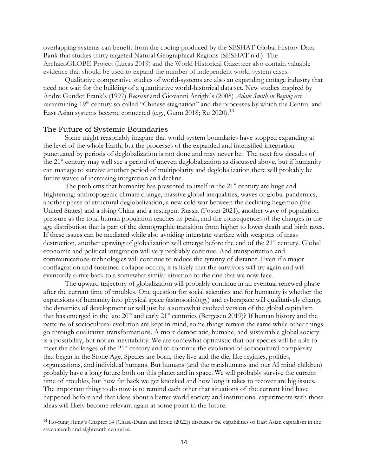overlapping systems can benefit from the coding produced by the SESHAT Global History Data Bank that studies thirty targeted Natural Geographical Regions (SESHAT n.d.). The ArchaeoGLOBE Project (Lucas 2019) and the World Historical Gazetteer also contain valuable evidence that should be used to expand the number of independent world-system cases.

Qualitative comparative studies of world-systems are also an expanding cottage industry that need not wait for the building of a quantitative world-historical data set. New studies inspired by Andre Gunder Frank's (1997) *Reorient* and Giovanni Arrighi's (2008) *Adam Smith in Beijing* are reexamining 19<sup>th</sup> century so-called "Chinese stagnation" and the processes by which the Central and East Asian systems became connected (e.g., Gunn 2018; Ru 2020).<sup>14</sup>

## The Future of Systemic Boundaries

Some might reasonably imagine that world-system boundaries have stopped expanding at the level of the whole Earth, but the processes of the expanded and intensified integration punctuated by periods of deglobalization is not done and may never be. The next few decades of the 21<sup>st</sup> century may well see a period of uneven deglobalization as discussed above, but if humanity can manage to survive another period of multipolarity and deglobalization there will probably be future waves of increasing integration and decline.

The problems that humanity has presented to itself in the  $21<sup>st</sup>$  century are huge and frightening: anthropogenic climate change, massive global inequalities, waves of global pandemics, another phase of structural deglobalization, a new cold war between the declining hegemon (the United States) and a rising China and a resurgent Russia (Foster 2021), another wave of population pressure as the total human population reaches its peak, and the consequences of the changes in the age distribution that is part of the demographic transition from higher to lower death and birth rates. If these issues can be mediated while also avoiding interstate warfare with weapons of mass destruction, another upswing of globalization will emerge before the end of the 21<sup>st</sup> century. Global economic and political integration will very probably continue. And transportation and communications technologies will continue to reduce the tyranny of distance. Even if a major conflagration and sustained collapse occurs, it is likely that the survivors will try again and will eventually arrive back to a somewhat similar situation to the one that we now face.

The upward trajectory of globalization will probably continue in an eventual renewed phase after the current time of troubles. One question for social scientists and for humanity is whether the expansions of humanity into physical space (astrosociology) and cyberspace will qualitatively change the dynamics of development or will just be a somewhat evolved version of the global capitalism that has emerged in the late  $20<sup>th</sup>$  and early  $21<sup>st</sup>$  centuries (Bergesen 2019)? If human history and the patterns of sociocultural evolution are kept in mind, some things remain the same while other things go through qualitative transformations. A more democratic, humane, and sustainable global society is a possibility, but not an inevitability. We are somewhat optimistic that our species will be able to meet the challenges of the 21<sup>st</sup> century and to continue the evolution of sociocultural complexity that began in the Stone Age. Species are born, they live and the die, like regimes, polities, organizations, and individual humans. But humans (and the transhumans and our AI mind children) probably have a long future both on this planet and in space. We will probably survive the current time of troubles, but how far back we get knocked and how long it takes to recover are big issues. The important thing to do now is to remind each other that situations of the current kind have happened before and that ideas about a better world society and institutional experiments with those ideas will likely become relevant again at some point in the future.

<sup>14</sup> Ho-fung Hung's Chapter 14 (Chase-Dunn and Inoue (2022)) discusses the capabilities of East Asian capitalism in the seventeenth and eighteenth centuries.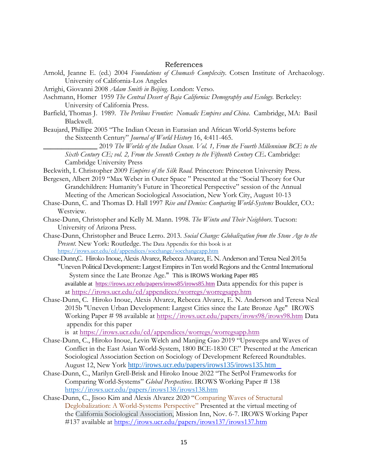#### References

- Arnold, Jeanne E. (ed.) 2004 *Foundations of Chumash Complexity*. Cotsen Institute of Archaeology. University of California-Los Angeles
- Arrighi, Giovanni 2008 *Adam Smith in Beijing*. London: Verso.
- Aschmann, Homer 1959 *The Central Desert of Baja California: Demography and Ecology.* Berkeley: University of California Press.
- Barfield, Thomas J. 1989. *The Perilous Frontier: Nomadic Empires and China*. Cambridge, MA: Basil Blackwell.
- Beaujard, Phillipe 2005 "The Indian Ocean in Eurasian and African World-Systems before the Sixteenth Century" *Journal of World History* 16, 4:411-465.
	- **\_\_\_\_\_\_\_\_\_\_\_\_\_\_\_** 2019 *The Worlds of the Indian Ocean. Vol. 1, From the Fourth Millennium BCE to the Sixth Century CE; vol. 2, From the Seventh Century to the Fifteenth Century CE***.** Cambridge: Cambridge University Press
- Beckwith, I. Christopher 2009 *Empires of the Silk Road.* Princeton: Princeton University Press.
- Bergesen, Albert 2019 "Max Weber in Outer Space " Presented at the "Social Theory for Our Grandchildren: Humanity's Future in Theoretical Perspective" session of the Annual Meeting of the American Sociological Association, New York City, August 10-13
- Chase-Dunn, C. and Thomas D. Hall 1997 *Rise and Demise: Comparing World-Systems* Boulder, CO.: Westview.
- Chase-Dunn, Christopher and Kelly M. Mann. 1998. *The Wintu and Their Neighbors*. Tucson: University of Arizona Press.
- Chase-Dunn, Christopher and Bruce Lerro. 2013. *Social Change: Globalization from the Stone Age to the Present*. New York: Routledge. The Data Appendix for this book is at <https://irows.ucr.edu/cd/appendices/socchange/socchangeapp.htm>
- Chase-Dunn,C. Hiroko Inoue, Alexis Alvarez, Rebecca Alvarez, E. N. Anderson and Teresa Neal 2015a "Uneven Political Development:: Largest Empires in Ten world Regions and the Central International System since the Late Bronze Age." This is IROWS Working Paper #85 available at <https://irows.ucr.edu/papers/irows85/irows85.htm> Data appendix for this paper is at <https://irows.ucr.edu/cd/appendices/worregs/worregsapp.htm>
- Chase-Dunn, C. Hiroko Inoue, Alexis Alvarez, Rebecca Alvarez, E. N. Anderson and Teresa Neal 2015b "Uneven Urban Development: Largest Cities since the Late Bronze Age" IROWS Working Paper # 98 available at <https://irows.ucr.edu/papers/irows98/irows98.htm> Data appendix for this paper

is at <https://irows.ucr.edu/cd/appendices/worregs/worregsapp.htm>

- Chase-Dunn, C., Hiroko Inoue, Levin Welch and Manjing Gao 2019 "Upsweeps and Waves of Conflict in the East Asian World-System, 1800 BCE-1830 CE" Presented at the American Sociological Association Section on Sociology of Development Refereed Roundtables. August 12, New York <http://irows.ucr.edu/papers/irows135/irows135.htm>
- Chase-Dunn, C., Marilyn Grell-Brisk and Hiroko Inoue 2022 "The SetPol Frameworks for Comparing World-Systems" *Global Perspectives*. IROWS Working Paper # 138 <https://irows.ucr.edu/papers/irows138/irows138.htm>
- Chase-Dunn, C., Jisoo Kim and Alexis Alvarez 2020 "Comparing Waves of Structural Deglobalization: A World-Systems Perspective" Presented at the virtual meeting of the California Sociological Association, Mission Inn, Nov. 6-7. IROWS Working Paper #137 available at <https://irows.ucr.edu/papers/irows137/irows137.htm>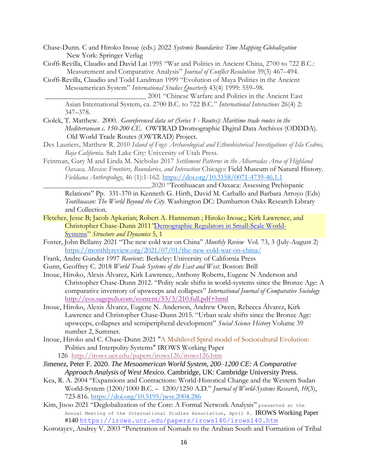- Chase-Dunn. C and Hiroko Inoue (eds.) 2022 *Systemic Boundaries: Time Mapping Globalization*  New York: Springer Verlag
- Cioffi-Revilla, Claudio and David Lai 1995 "War and Politics in Ancient China, 2700 to 722 B.C.: Measurement and Comparative Analysis" *Journal of Conflict Resolution* 39(3) 467–494.
- Cioffi-Revilla, Claudio and Todd Landman 1999 "Evolution of Maya Polities in the Ancient Mesoamerican System" *International Studies Quarterly* 43(4) 1999: 559–98.

\_\_\_\_\_\_\_\_\_\_\_\_\_\_\_\_\_\_\_\_\_\_\_\_\_\_\_\_ 2001 "Chinese Warfare and Politics in the Ancient East Asian International System, ca. 2700 B.C. to 722 B.C." *International Interactions* 26(4) 2: 347–378.

- Ciolek, T. Matthew. 2000. *Georeferenced data set (Series 1 - Routes): Maritime trade routes in the Mediterranean c. 150-200 CE.* OWTRAD Dromographic Digital Data Archives (ODDDA). Old World Trade Routes (OWTRAD) Project.
- Des Lauriers, Matthew R. 2010 *Island of Fogs: Archaeological and Ethnohistorical Investigations of Isla Cedros, Baja California.* Salt Lake City: University of Utah Press.
- Feinman, Gary M and Linda M. Nicholas 2017 *Settlement Patterns in the Albarradas Area of Highland Oaxaca, Mexico: Frontiers, Boundaries, and Interaction* Chicago: Field Museum of Natural History. *Fieldiana Anthropology*, 46 (1):1-162.<https://doi.org/10.3158/0071-4739-46.1.1>

\_\_\_\_\_\_\_\_\_\_\_\_\_\_\_\_\_\_\_\_\_\_\_\_\_\_\_\_\_\_2020 "Teotihuacan and Oaxaca: Assessing Prehispanic Relations" Pp. 331-370 in Kenneth G. Hirth, David M. Carballo and Barbara Arroyo (Eds) *Teotihuacan: The World Beyond the City*. Washington DC: Dumbarton Oaks Research Library and Collection.

- Fletcher, Jesse B; Jacob Apkarian; Robert A. Hanneman ; Hiroko Inoue,; Kirk Lawrence, and Christopher Chase-Dunn 2011*"*[Demographic Regulators in Small-Scale World-](http://escholarship.org/uc/item/6kb1k3zk)[Systems](http://escholarship.org/uc/item/6kb1k3zk)" *Structure and Dynamics* 5, 1
- Foster, John Bellamy 2021 "The new cold war on China" *Monthly Review* [Vol. 73, 3 \(July-August 2\)](https://monthlyreview.org/category/2021/volume-73-issue-03-july-august/) <https://monthlyreview.org/2021/07/01/the-new-cold-war-on-china/>
- Frank, Andre Gunder 1997 *Reorient:.* Berkeley: University of California Press
- Gunn, Geoffrey C. 2018 *World Trade Systems of the East and West*. Boston: Brill
- Inoue, Hiroko, Alexis Álvarez, Kirk Lawrence, Anthony Roberts, Eugene N Anderson and Christopher Chase-Dunn 2012. "Polity scale shifts in world-systems since the Bronze Age: A comparative inventory of upsweeps and collapses" *International Journal of Comparative Sociology*  <http://cos.sagepub.com/content/53/3/210.full.pdf+html>
- Inoue, Hiroko, Alexis Álvarez, Eugene N. Anderson, Andrew Owen, Rebecca Álvarez, Kirk Lawrence and Christopher Chase-Dunn 2015. "Urban scale shifts since the Bronze Age: upsweeps, collapses and semiperipheral development" *Social Science History* Volume 39 number 2, Summer.
- Inoue, Hiroko and C. Chase-Dunn 2021 "A Multilevel Spiral model of Sociocultural Evolution: Polities and Interpolity Systems" IROWS Working Paper 126 <http://irows.ucr.edu/papers/irows126/irows126.htm>
- Jimenez, Peter F. 2020. *The Mesoamerican World System, 200–1200 CE: A Comparative Approach Analysis of West Mexico*. Cambridge, UK: Cambridge University Press.
- Kea, R. A. 2004 "Expansions and Contractions: World-Historical Change and the Western Sudan World-System (1200/1000 B.C. – 1200/1250 A.D." *Journal of World-Systems Research*, *10*(3), 723-816.<https://doi.org/10.5195/jwsr.2004.286>
- Kim, Jisoo 2021 "Deglobalization of the Core: A Formal Network Analysis" presented at the Annual Meeting of the International Studies Association, April 8. IROWS Working Paper #140 <https://irows.ucr.edu/papers/irows140/irows140.htm>
- Korotayev, Andrey V. 2003 "Penetration of Nomads to the Arabian South and Formation of Tribal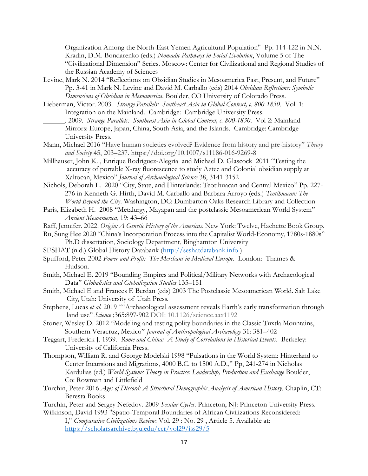Organization Among the North-East Yemen Agricultural Population" Pp. 114-122 in N.N. Kradin, D.M. Bondarenko (eds.) *Nomadic Pathways in Social Evolution*, Volume 5 of The "Civilizational Dimension" Series. Moscow: Center for Civilizational and Regional Studies of the Russian Academy of Sciences

- Levine, Mark N. 2014 "Reflections on Obsidian Studies in Mesoamerica Past, Present, and Future" Pp. 3-41 in Mark N. Levine and David M. Carballo (eds) 2014 *Obsidian Reflections: Symbolic Dimensions of Obsidian in Mesoamerica*. Boulder, CO University of Colorado Press.
- Lieberman, Victor. 2003. *Strange Parallels: Southeast Asia in Global Context, c. 800-1830*. Vol. 1: Integration on the Mainland. Cambridge: Cambridge University Press.
	- . 2009. *Strange Parallels: Southeast Asia in Global Context, c. 800-1830*. Vol 2: Mainland Mirrors: Europe, Japan, China, South Asia, and the Islands. Cambridge: Cambridge University Press.
- Mann, Michael 2016 "Have human societies evolved? Evidence from history and pre-history" *Theory and Society* 45, 203–237. https://doi.org/10.1007/s11186-016-9269-8
- Millhauser, John K. , Enrique Rodríguez-Alegría and Michael D. Glascock 2011 "Testing the accuracy of portable X-ray fluorescence to study Aztec and Colonial obsidian supply at Xaltocan, Mexico" *Journal of Archaeological Science* 38, 3141-3152
- Nichols, Deborah L. 2020 "City, State, and Hinterlands: Teotihuacan and Central Mexico" Pp. 227- 276 in Kenneth G. Hirth, David M. Carballo and Barbara Arroyo (eds.) *Teotihuacan: The World Beyond the City*. Washington, DC: Dumbarton Oaks Research Library and Collection
- Paris, Elizabeth H. 2008 "Metalurgy, Mayapan and the postclassic Mesoamerican World System" *Ancient Mesoamerica*, 19: 43–66
- Raff, Jennifer. 2022. *Origin: A Genetic History of the Americas*. New York: Twelve, Hachette Book Group.
- Ru, Sung Hee 2020 "China's Incorporation Process into the Capitalist World-Economy, 1780s-1880s" Ph.D dissertation, Sociology Department, Binghamton University
- SESHAT (n.d.) Global History Databank [\(http://seshatdatabank.info](http://seshatdatabank.info/))
- Spufford, Peter 2002 *Power and Profit: The Merchant in Medieval Europe*. London: Thames & Hudson.
- Smith, Michael E. 2019 "Bounding Empires and Political/Military Networks with Archaeological Data" *Globalistics and Globalization Studies* 135–151
- Smith, Michael E and Frances F. Berdan (eds) 2003 The Postclassic Mesoamerican World. Salt Lake City, Utah: University of Utah Press.
- Stephens, Lucas et al. 2019 ""Archaeological assessment reveals Earth's early transformation through land use" *Science* ;365:897-902 DOI: 10.1126/science.aax1192
- Stoner, Wesley D. 2012 "Modeling and testing polity boundaries in the Classic Tuxtla Mountains, Southern Veracruz, Mexico" *Journal of Anthropological Archaeology* 31: 381–402
- Teggart, Frederick J. 1939. *Rome and China: A Study of Correlations in Historical Events*. Berkeley: University of California Press.
- Thompson, William R. and George Modelski 1998 "Pulsations in the World System: Hinterland to Center Incursions and Migrations, 4000 B.C. to 1500 A.D.," Pp, 241-274 in Nicholas Kardulias (ed.) *World Systems Theory in Practice: Leadership, Production and Exchange* Boulder, Co: Rowman and Littlefield
- Turchin, Peter 2016 *Ages of Discord: A Structural Demographic Analysis of American History.* Chaplin, CT: Beresta Books
- Turchin, Peter and Sergey Nefedov. 2009 *Secular Cycles*. Princeton, NJ: Princeton University Press. Wilkinson, David 1993 "Spatio-Temporal Boundaries of African Civilizations Reconsidered:

I," *Comparative Civilizations Review*: Vol. 29 : No. 29 , Article 5. Available at: <https://scholarsarchive.byu.edu/ccr/vol29/iss29/5>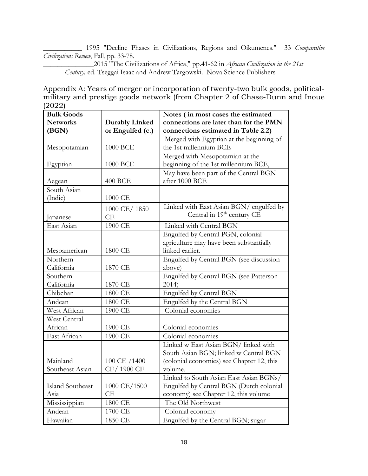\_\_\_\_\_\_\_\_\_\_\_ 1995 "Decline Phases in Civilizations, Regions and Oikumenes." 33 *Comparative Civilizations Review*, Fall, pp. 33-78.

\_\_\_\_\_\_\_\_\_\_\_\_\_\_2015 "The Civilizations of Africa," pp.41-62 in *African Civilization in the 21st Century,* ed. Tseggai Isaac and Andrew Targowski. Nova Science Publishers

Appendix A: Years of merger or incorporation of twenty-two bulk goods, politicalmilitary and prestige goods network (from Chapter 2 of Chase-Dunn and Inoue (2022)

| <b>Bulk Goods</b> |                       | Notes (in most cases the estimated        |  |
|-------------------|-----------------------|-------------------------------------------|--|
| <b>Networks</b>   | <b>Durably Linked</b> | connections are later than for the PMN    |  |
| (BGN)             | or Engulfed (c.)      | connections estimated in Table 2.2)       |  |
|                   |                       | Merged with Egyptian at the beginning of  |  |
| Mesopotamian      | 1000 BCE              | the 1st millennium BCE                    |  |
|                   |                       | Merged with Mesopotamian at the           |  |
| Egyptian          | 1000 BCE              | beginning of the 1st millennium BCE,      |  |
|                   |                       | May have been part of the Central BGN     |  |
| Aegean            | 400 BCE               | after 1000 BCE                            |  |
| South Asian       |                       |                                           |  |
| (Indic)           | 1000 CE               |                                           |  |
|                   | 1000 CE/1850          | Linked with East Asian BGN/ engulfed by   |  |
| Japanese          | СE                    | Central in 19th century CE                |  |
| East Asian        | 1900 CE               | Linked with Central BGN                   |  |
|                   |                       | Engulfed by Central PGN, colonial         |  |
|                   |                       | agriculture may have been substantially   |  |
| Mesoamerican      | 1800 CE               | linked earlier.                           |  |
| Northern          |                       | Engulfed by Central BGN (see discussion   |  |
| California        | 1870 CE               | above)                                    |  |
| Southern          |                       | Engulfed by Central BGN (see Patterson    |  |
| California        | 1870 CE               | 2014                                      |  |
| Chibchan          | 1800 CE               | Engulfed by Central BGN                   |  |
| Andean            | 1800 CE               | Engulfed by the Central BGN               |  |
| West African      | 1900 CE               | Colonial economies                        |  |
| West Central      |                       |                                           |  |
| African           | 1900 CE               | Colonial economies                        |  |
| East African      | 1900 CE               | Colonial economies                        |  |
|                   |                       | Linked w East Asian BGN/ linked with      |  |
|                   |                       | South Asian BGN; linked w Central BGN     |  |
| Mainland          | 100 CE /1400          | (colonial economies) see Chapter 12, this |  |
| Southeast Asian   | CE/1900 CE            | volume.                                   |  |
|                   |                       | Linked to South Asian East Asian BGNs/    |  |
| Island Southeast  | 1000 CE/1500          | Engulfed by Central BGN (Dutch colonial   |  |
| Asia              | СE                    | economy) see Chapter 12, this volume      |  |
| Mississippian     | 1800 CE               | The Old Northwest                         |  |
| Andean            | 1700 CE               | Colonial economy                          |  |
| Hawaiian          | 1850 CE               | Engulfed by the Central BGN; sugar        |  |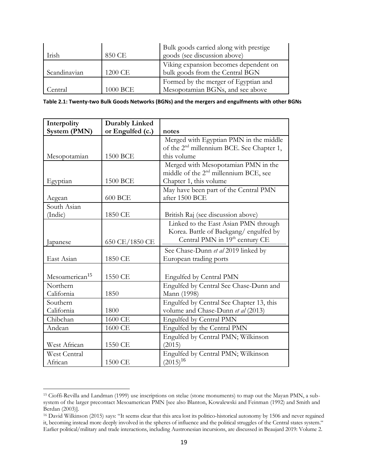| Irish        | 850 CE   | Bulk goods carried along with prestige<br>goods (see discussion above)   |
|--------------|----------|--------------------------------------------------------------------------|
| Scandinavian | 1200 CE  | Viking expansion becomes dependent on<br>bulk goods from the Central BGN |
| Central.     | 1000 BCE | Formed by the merger of Egyptian and<br>Mesopotamian BGNs, and see above |

| Table 2.1: Twenty-two Bulk Goods Networks (BGNs) and the mergers and engulfments with other BGNs |  |  |  |  |
|--------------------------------------------------------------------------------------------------|--|--|--|--|
|--------------------------------------------------------------------------------------------------|--|--|--|--|

| Interpolity                | <b>Durably Linked</b> |                                                       |
|----------------------------|-----------------------|-------------------------------------------------------|
| System (PMN)               | or Engulfed (c.)      | notes                                                 |
|                            |                       | Merged with Egyptian PMN in the middle                |
|                            |                       | of the 2 <sup>nd</sup> millennium BCE. See Chapter 1, |
| Mesopotamian               | 1500 BCE              | this volume                                           |
|                            |                       | Merged with Mesopotamian PMN in the                   |
|                            |                       | middle of the 2 <sup>nd</sup> millennium BCE, see     |
| Egyptian                   | 1500 BCE              | Chapter 1, this volume                                |
|                            |                       | May have been part of the Central PMN                 |
| Aegean                     | <b>600 BCE</b>        | after 1500 BCE                                        |
| South Asian                |                       |                                                       |
| (Indic)                    | 1850 CE               | British Raj (see discussion above)                    |
|                            |                       | Linked to the East Asian PMN through                  |
|                            |                       | Korea. Battle of Baekgang/engulfed by                 |
| Japanese                   | 650 CE/1850 CE        | Central PMN in 19th century CE                        |
|                            |                       | See Chase-Dunn et al 2019 linked by                   |
| East Asian                 | 1850 CE               | European trading ports                                |
|                            |                       |                                                       |
| Mesoamerican <sup>15</sup> | 1550 CE               | Engulfed by Central PMN                               |
| Northern                   |                       | Engulfed by Central See Chase-Dunn and                |
| California                 | 1850                  | Mann (1998)                                           |
| Southern                   |                       | Engulfed by Central See Chapter 13, this              |
| California                 | 1800                  | volume and Chase-Dunn et al (2013)                    |
| Chibchan                   | 1600 CE               | Engulfed by Central PMN                               |
| Andean                     | 1600 CE               | Engulfed by the Central PMN                           |
|                            |                       | Engulfed by Central PMN; Wilkinson                    |
| West African               | 1550 CE               | (2015)                                                |
| <b>West Central</b>        |                       | Engulfed by Central PMN; Wilkinson                    |
| African                    | 1500 CE               | $(2015)^{16}$                                         |

<sup>15</sup> Cioffi-Revilla and Landman (1999) use inscriptions on stelae (stone monuments) to map out the Mayan PMN, a subsystem of the larger precontact Mesoamerican PMN [see also Blanton, Kowalewski and Feinman (1992) and Smith and Berdan (2003)].

<sup>16</sup> David Wilkinson (2015) says: "It seems clear that this area lost its politico-historical autonomy by 1506 and never regained it, becoming instead more deeply involved in the spheres of influence and the political struggles of the Central states system." Earlier political/military and trade interactions, including Austronesian incursions, are discussed in Beaujard 2019: Volume 2.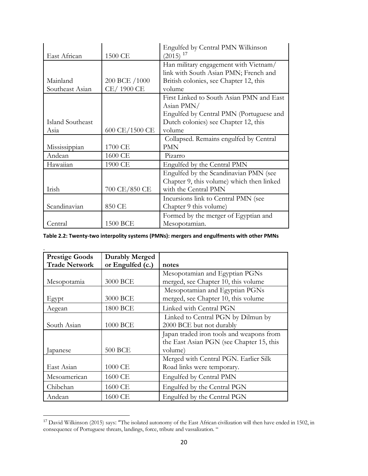|                  |                | Engulfed by Central PMN Wilkinson         |
|------------------|----------------|-------------------------------------------|
| East African     | 1500 CE        | $(2015)^{17}$                             |
|                  |                | Han military engagement with Vietnam/     |
|                  |                | link with South Asian PMN; French and     |
| Mainland         | 200 BCE /1000  | British colonies, see Chapter 12, this    |
| Southeast Asian  | CE/1900 CE     | volume                                    |
|                  |                | First Linked to South Asian PMN and East  |
|                  |                | Asian PMN/                                |
|                  |                | Engulfed by Central PMN (Portuguese and   |
| Island Southeast |                | Dutch colonies) see Chapter 12, this      |
| Asia             | 600 CE/1500 CE | volume                                    |
|                  |                | Collapsed. Remains engulfed by Central    |
| Mississippian    | 1700 CE        | PMN                                       |
| Andean           | 1600 CE        | Pizarro                                   |
| Hawaiian         | 1900 CE        | Engulfed by the Central PMN               |
|                  |                | Engulfed by the Scandinavian PMN (see     |
|                  |                | Chapter 9, this volume) which then linked |
| Irish            | 700 CE/850 CE  | with the Central PMN                      |
|                  |                | Incursions link to Central PMN (see       |
| Scandinavian     | 850 CE         | Chapter 9 this volume)                    |
|                  |                | Formed by the merger of Egyptian and      |
| Central          | 1500 BCE       | Mesopotamian.                             |

**Table 2.2: Twenty-two interpolity systems (PMNs): mergers and engulfments with other PMNs**

| <b>Prestige Goods</b> | <b>Durably Merged</b> |                                          |
|-----------------------|-----------------------|------------------------------------------|
| <b>Trade Network</b>  | or Engulfed (c.)      | notes                                    |
|                       |                       | Mesopotamian and Egyptian PGNs           |
| Mesopotamia           | 3000 BCE              | merged, see Chapter 10, this volume      |
|                       |                       | Mesopotamian and Egyptian PGNs           |
| Egypt                 | 3000 BCE              | merged, see Chapter 10, this volume      |
| Aegean                | 1800 BCE              | Linked with Central PGN                  |
|                       |                       | Linked to Central PGN by Dilmun by       |
| South Asian           | 1000 BCE              | 2000 BCE but not durably                 |
|                       |                       | Japan traded iron tools and weapons from |
|                       |                       | the East Asian PGN (see Chapter 15, this |
| Japanese              | <b>500 BCE</b>        | volume)                                  |
|                       |                       | Merged with Central PGN. Earlier Silk    |
| East Asian            | 1000 CE               | Road links were temporary.               |
| Mesoamerican          | 1600 CE               | Engulfed by Central PMN                  |
| Chibchan              | 1600 CE               | Engulfed by the Central PGN              |
| Andean                | 1600 CE               | Engulfed by the Central PGN              |

<sup>&</sup>lt;sup>17</sup> David Wilkinson (2015) says: "The isolated autonomy of the East African civilization will then have ended in 1502, in consequence of Portuguese threats, landings, force, tribute and vassalization. "